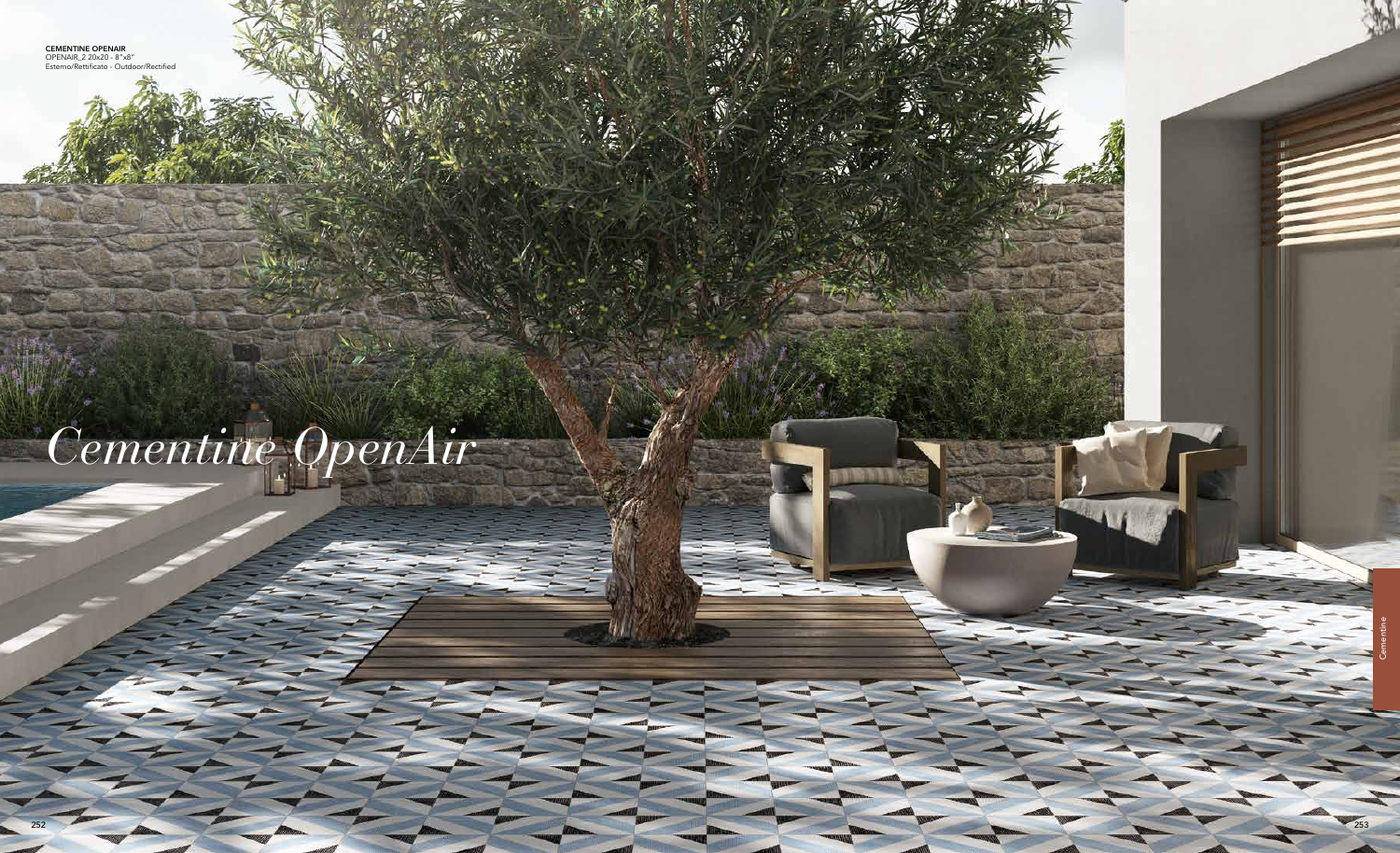

# *Cementine OpenAir*

CEMENTINE OPENAIR OPENAIR\_2 20x20 - 8"x8" Esterno/Rettificato - Outdoor/Rectified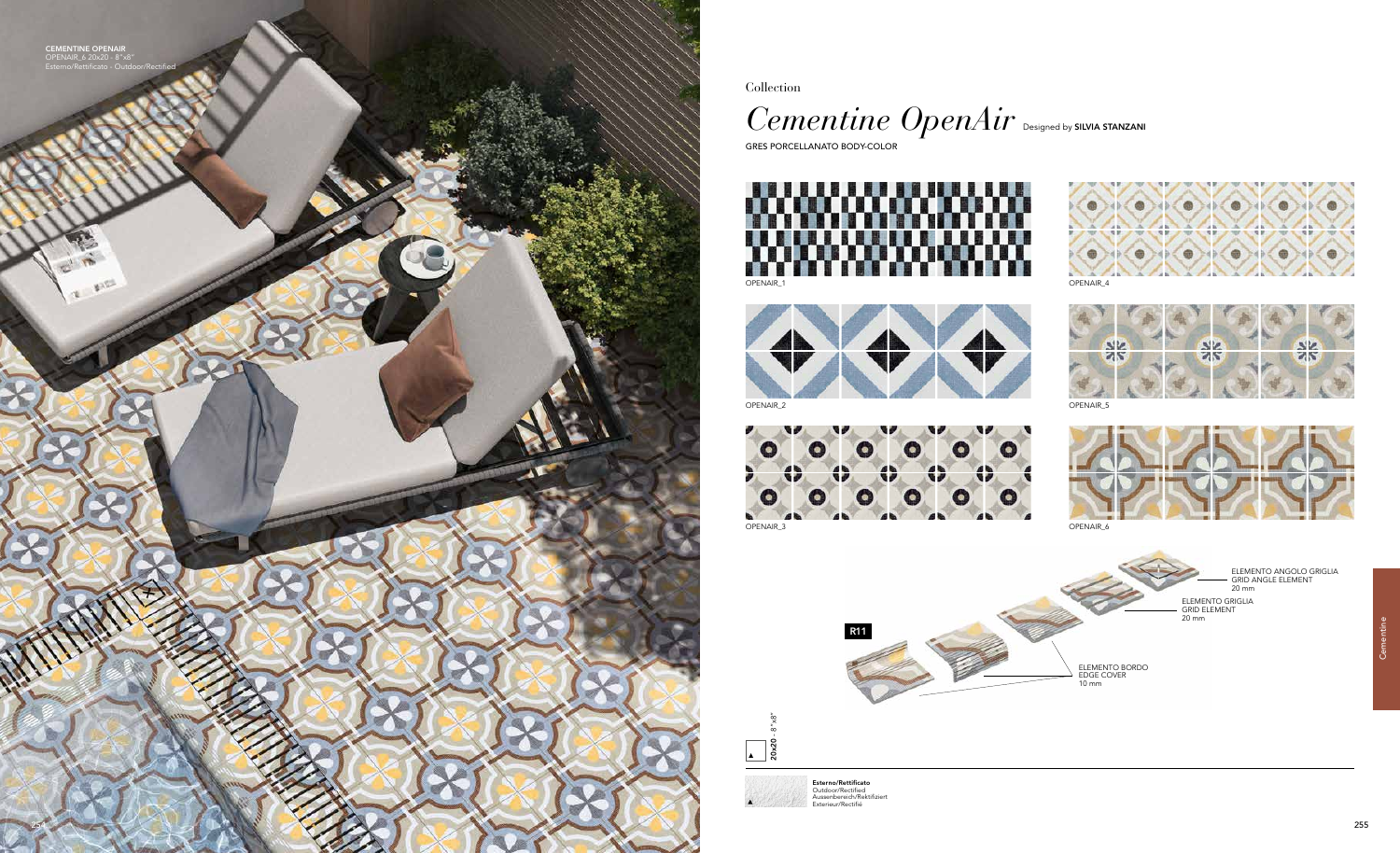Collection



GRES PORCELLANATO BODY-COLOR

254

CEMENTINE OPENAIR OPENAIR\_6 20x20 - 8"x8" Esterno/Rettificato - Outdoor/Rectified

> 20x20 - 8"x8"  $\sqrt{20}$

**Esterno/Rettificato**<br>Outdoor/Rectified<br>Aussenbereich/Rektifiziert<br>Exterieur/Rectifié













ELEMENTO BORDO EDGE COVER 10 mm

ELEMENTO GRIGLIA GRID ELEMENT



ELEMENTO ANGOLO GRIGLIA GRID ANGLE ELEMENT 20 mm

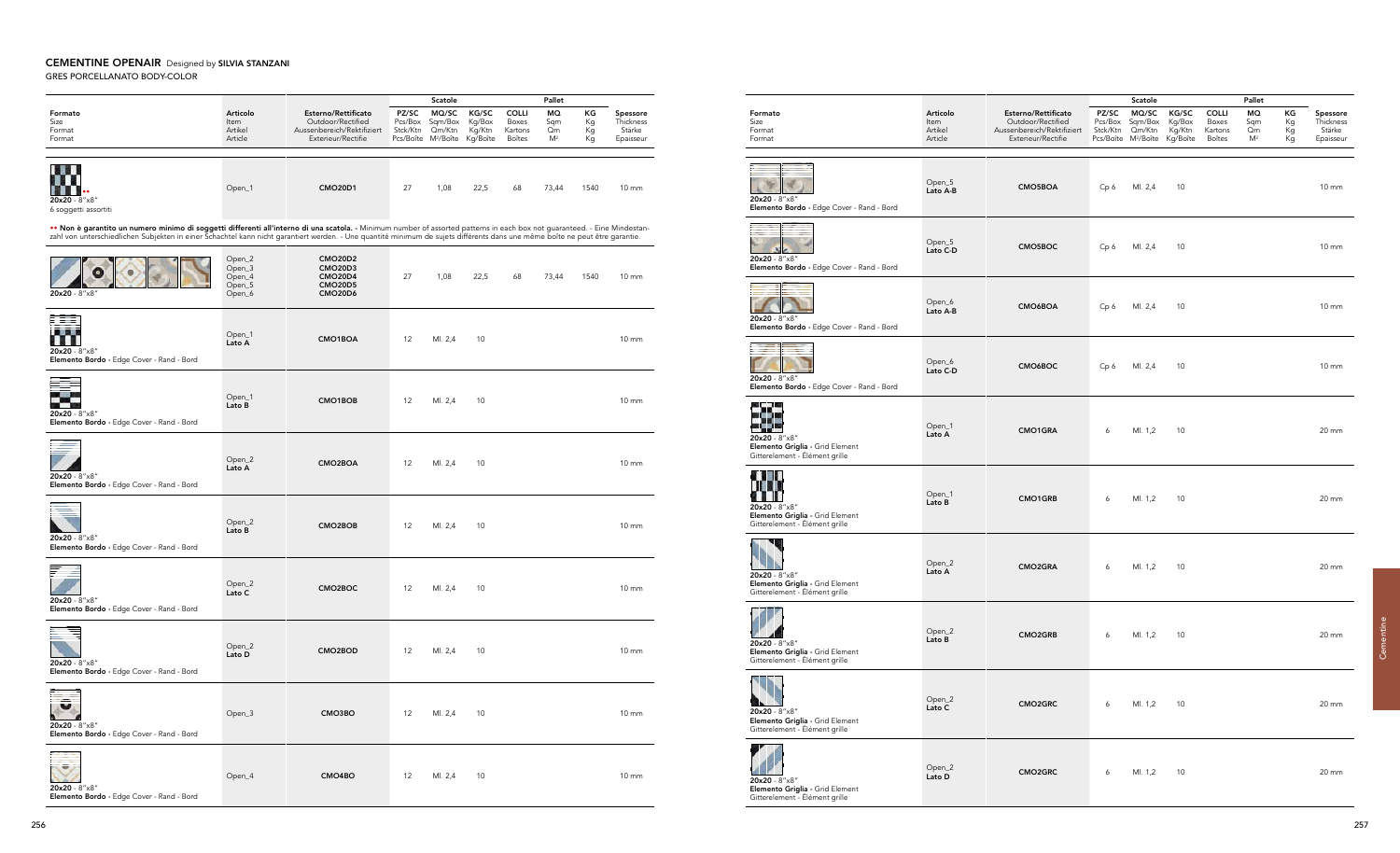## CEMENTINE OPENAIR Designed by SILVIA STANZANI GRES PORCELLANATO BODY-COLOR

Formato Articolo Size Item Format Artikel Format Article Open\_5<br>Lato A-B 36 20x20 - 8"x8" Elemento Bordo - Edge Cover - Rand - Bord Open\_5<br>Lato C-D  $N$ 20x20 - 8"x8" Elemento Bordo - Edge Cover - Rand - Bord Open\_6<br>Lato A-B  $20x20 - 8"x8"$ Elemento Bordo - Edge Cover - Rand - Bord Open\_6<br>Lato C-D  $20x20 - 8"x8"$ Elemento Bordo - Edge Cover - Rand - Bord  $20 \times 20 - 8 \times 8 \times 8$ Open\_1<br>Lato A Elemento Griglia - Grid Element Gitterelement - Élément grille **MIL** Open\_1<br>Lato B **20x20** - 8″x8″<br>**Elemento Griglia -** Grid Element Gitterelement - Élément grille Open\_2<br>Lato A **20x20** - 8″x8″<br>**Elemento Griglia -** Grid Element Gitterelement - Élément grille Open\_2<br>Lato B  $\mathbb{Z}$ 20x20 - 8"x8" Elemento Griglia - Grid Element Gitterelement - Élément grille 93 Open\_2<br>Lato C  $20x20 - 8"x8"$ Elemento Griglia - Grid Element Gitterelement - Élément grille  $20x20 - 8"x8"$ Open\_2<br>Lato D

|                                                                                                                                                                                                                                                                                                                                                         |                                                |                                                                                                                     | Scatole                      |                                                               |                                       |                                                   |                                          |                      |                                              |
|---------------------------------------------------------------------------------------------------------------------------------------------------------------------------------------------------------------------------------------------------------------------------------------------------------------------------------------------------------|------------------------------------------------|---------------------------------------------------------------------------------------------------------------------|------------------------------|---------------------------------------------------------------|---------------------------------------|---------------------------------------------------|------------------------------------------|----------------------|----------------------------------------------|
| Formato<br>Size<br>Format<br>Format                                                                                                                                                                                                                                                                                                                     | Articolo<br><b>Item</b><br>Artikel<br>Article  | Esterno/Rettificato<br>Outdoor/Rectified<br>Aussenbereich/Rektifiziert<br>Exterieur/Rectifie                        | PZ/SC<br>Pcs/Box<br>Stck/Ktn | MQ/SC<br>Sqm/Box<br>Qm/Ktn<br>Pcs/Boîte M <sup>2</sup> /Boîte | KG/SC<br>Kg/Box<br>Kg/Ktn<br>Kg/Boîte | <b>COLLI</b><br>Boxes<br>Kartons<br><b>Boîtes</b> | <b>MQ</b><br>Sqm<br>Qm<br>M <sup>2</sup> | ΚG<br>Кg<br>Кg<br>Кg | Spessore<br>Thickness<br>Stärke<br>Epaisseur |
| 20x20 - 8"x8"<br>6 soggetti assortiti                                                                                                                                                                                                                                                                                                                   | Open_1                                         | <b>CMO20D1</b>                                                                                                      | 27                           | 1,08                                                          | 22,5                                  | 68                                                | 73,44                                    | 1540                 | $10 \, \text{mm}$                            |
| Non è garantito un numero minimo di soggetti differenti all'interno di una scatola. - Minimum number of assorted patterns in each box not quaranteed. - Eine Mindestan-<br>zahl von unterschiedlichen Subjekten in einer Schachtel kann nicht garantiert werden. - Une quantité minimum de sujets différents dans une même boîte ne peut être garantie. |                                                |                                                                                                                     |                              |                                                               |                                       |                                                   |                                          |                      |                                              |
| 20x20 - 8"x8"                                                                                                                                                                                                                                                                                                                                           | Open_2<br>Open_3<br>Open_4<br>Open_5<br>Open_6 | <b>CMO20D2</b><br>CMO <sub>20</sub> D <sub>3</sub><br><b>CMO20D4</b><br>CMO <sub>20</sub> D <sub>5</sub><br>CMO20D6 | 27                           | 1,08                                                          | 22,5                                  | 68                                                | 73,44                                    | 1540                 | $10 \, \text{mm}$                            |
| ▌▌▌<br>20x20 - 8"x8"<br>Elemento Bordo - Edge Cover - Rand - Bord                                                                                                                                                                                                                                                                                       | Open_1<br>Lato A                               | CMO1BOA                                                                                                             | 12                           | MI. 2,4                                                       | 10                                    |                                                   |                                          |                      | $10 \, \text{mm}$                            |
| 20x20 - 8"x8"<br>Elemento Bordo - Edge Cover - Rand - Bord                                                                                                                                                                                                                                                                                              | Open_1<br>Lato B                               | CMO1BOB                                                                                                             | 12                           | MI. 2,4                                                       | 10                                    |                                                   |                                          |                      | $10 \, \text{mm}$                            |
| 20x20 - 8"x8"<br>Elemento Bordo - Edge Cover - Rand - Bord                                                                                                                                                                                                                                                                                              | Open_2<br>Lato A                               | CMO2BOA                                                                                                             | 12                           | MI. 2,4                                                       | 10                                    |                                                   |                                          |                      | $10 \, \text{mm}$                            |
| 20x20 - 8"x8"<br>Elemento Bordo - Edge Cover - Rand - Bord                                                                                                                                                                                                                                                                                              | Open_2<br>Lato B                               | CMO2BOB                                                                                                             | 12                           | MI. 2,4                                                       | 10                                    |                                                   |                                          |                      | $10 \text{ mm}$                              |
| 20x20 - 8"x8"<br>Elemento Bordo - Edge Cover - Rand - Bord                                                                                                                                                                                                                                                                                              | Open_2<br>Lato C                               | CMO2BOC                                                                                                             | 12                           | Ml. 2,4                                                       | 10                                    |                                                   |                                          |                      | $10 \, \text{mm}$                            |
| 20x20 - 8"x8"<br>Elemento Bordo - Edge Cover - Rand - Bord                                                                                                                                                                                                                                                                                              | Open_2<br>Lato D                               | CMO2BOD                                                                                                             | 12                           | Ml. 2,4                                                       | 10                                    |                                                   |                                          |                      | $10 \, \text{mm}$                            |
| 20x20 - 8"x8"<br>Elemento Bordo - Edge Cover - Rand - Bord                                                                                                                                                                                                                                                                                              | Open_3                                         | CMO3BO                                                                                                              | 12                           | Ml. 2,4                                                       | 10                                    |                                                   |                                          |                      | $10 \, \text{mm}$                            |
| 20x20 - 8"x8"<br>Elemento Bordo - Edge Cover - Rand - Bord                                                                                                                                                                                                                                                                                              | Open_4                                         | CMO4BO                                                                                                              | 12                           | MI. 2,4                                                       | 10                                    |                                                   |                                          |                      | $10 \, \text{mm}$                            |

| Articolo<br>ltem<br>Artikel<br>Article | Esterno/Rettificato<br>Outdoor/Rectified<br>Aussenbereich/Rektifiziert<br>Exterieur/Rectifie | PZ/SC<br>Pcs/Box<br>Stck/Ktn<br>Pcs/Boîte M <sup>2</sup> /Boîte | Scatole<br>MQ/SC<br>Sqm/Box<br>Qm/Ktn | KG/SC<br>Kg/Box<br>Kg/Ktn<br>Kg/Boîte | <b>COLLI</b><br>Boxes<br>Kartons<br>Boîtes | Pallet<br>MO<br>Sqm<br>Qm<br>M <sup>2</sup> | КG<br>Kg<br>Кg<br>Кg | Spessore<br>Thickness<br>Stärke<br>Epaisseur |
|----------------------------------------|----------------------------------------------------------------------------------------------|-----------------------------------------------------------------|---------------------------------------|---------------------------------------|--------------------------------------------|---------------------------------------------|----------------------|----------------------------------------------|
| Open_5<br>Lato A-B                     | CMO5BOA                                                                                      | Cp 6                                                            | Ml. 2,4                               | 10                                    |                                            |                                             |                      | <b>10 mm</b>                                 |
| Open_5<br>Lato C-D                     | CMO5BOC                                                                                      | Cp 6                                                            | Ml. 2,4                               | 10                                    |                                            |                                             |                      | 10 mm                                        |
| Open_6<br>Lato A-B                     | CMO6BOA                                                                                      | Cp 6                                                            | Ml. 2,4                               | 10                                    |                                            |                                             |                      | $10 \, \text{mm}$                            |
| Open_6<br>Lato C-D                     | CMO6BOC                                                                                      | Cp 6                                                            | Ml. 2,4                               | 10                                    |                                            |                                             |                      | $10 \, \text{mm}$                            |
| $Open_1$<br>Lato A                     | CMO1GRA                                                                                      | 6                                                               | Ml. 1,2                               | 10                                    |                                            |                                             |                      | 20 mm                                        |
| Open_1<br>Lato B                       | CMO1GRB                                                                                      | 6                                                               | Ml. 1,2                               | 10                                    |                                            |                                             |                      | 20 mm                                        |
| Open_2<br>Lato A                       | CMO2GRA                                                                                      | 6                                                               | Ml. 1,2                               | 10                                    |                                            |                                             |                      | 20 mm                                        |
| Open_2<br>Lato B                       | CMO2GRB                                                                                      | 6                                                               | Ml. 1,2 10                            |                                       |                                            |                                             |                      | 20 mm                                        |
| Open_2<br>Lato C                       | CMO2GRC                                                                                      | 6                                                               | Ml. 1,2 10                            |                                       |                                            |                                             |                      | 20 mm                                        |
| Open_2<br>Lato D                       | CMO2GRC                                                                                      | 6                                                               | Ml. 1,2 10                            |                                       |                                            |                                             |                      | 20 mm                                        |

Elemento Griglia - Grid Element Gitterelement - Élément grille